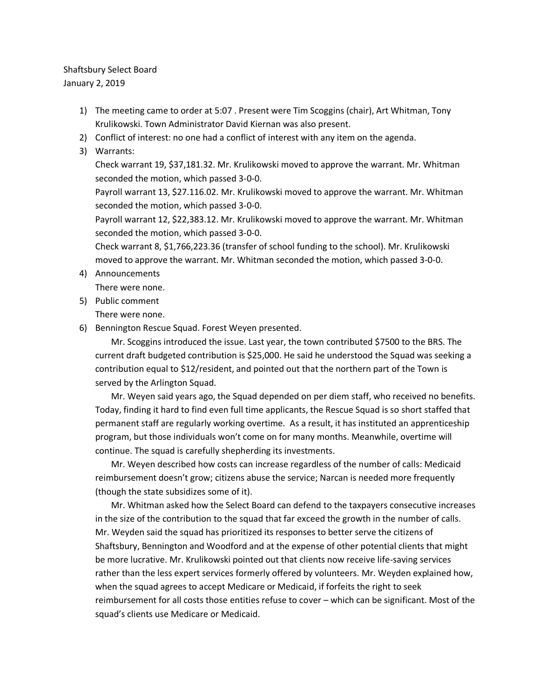## Shaftsbury Select Board January 2, 2019

- 1) The meeting came to order at 5:07 . Present were Tim Scoggins (chair), Art Whitman, Tony Krulikowski. Town Administrator David Kiernan was also present.
- 2) Conflict of interest: no one had a conflict of interest with any item on the agenda.
- 3) Warrants:

Check warrant 19, \$37,181.32. Mr. Krulikowski moved to approve the warrant. Mr. Whitman seconded the motion, which passed 3-0-0.

Payroll warrant 13, \$27.116.02. Mr. Krulikowski moved to approve the warrant. Mr. Whitman seconded the motion, which passed 3-0-0.

Payroll warrant 12, \$22,383.12. Mr. Krulikowski moved to approve the warrant. Mr. Whitman seconded the motion, which passed 3-0-0.

Check warrant 8, \$1,766,223.36 (transfer of school funding to the school). Mr. Krulikowski moved to approve the warrant. Mr. Whitman seconded the motion, which passed 3-0-0.

- 4) Announcements There were none.
- 5) Public comment

There were none.

6) Bennington Rescue Squad. Forest Weyen presented.

Mr. Scoggins introduced the issue. Last year, the town contributed \$7500 to the BRS. The current draft budgeted contribution is \$25,000. He said he understood the Squad was seeking a contribution equal to \$12/resident, and pointed out that the northern part of the Town is served by the Arlington Squad.

Mr. Weyen said years ago, the Squad depended on per diem staff, who received no benefits. Today, finding it hard to find even full time applicants, the Rescue Squad is so short staffed that permanent staff are regularly working overtime. As a result, it has instituted an apprenticeship program, but those individuals won't come on for many months. Meanwhile, overtime will continue. The squad is carefully shepherding its investments.

Mr. Weyen described how costs can increase regardless of the number of calls: Medicaid reimbursement doesn't grow; citizens abuse the service; Narcan is needed more frequently (though the state subsidizes some of it).

Mr. Whitman asked how the Select Board can defend to the taxpayers consecutive increases in the size of the contribution to the squad that far exceed the growth in the number of calls. Mr. Weyden said the squad has prioritized its responses to better serve the citizens of Shaftsbury, Bennington and Woodford and at the expense of other potential clients that might be more lucrative. Mr. Krulikowski pointed out that clients now receive life-saving services rather than the less expert services formerly offered by volunteers. Mr. Weyden explained how, when the squad agrees to accept Medicare or Medicaid, if forfeits the right to seek reimbursement for all costs those entities refuse to cover – which can be significant. Most of the squad's clients use Medicare or Medicaid.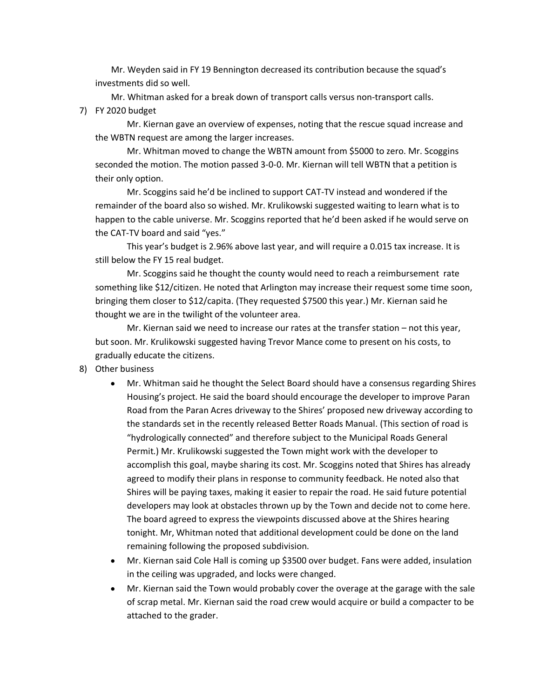Mr. Weyden said in FY 19 Bennington decreased its contribution because the squad's investments did so well.

Mr. Whitman asked for a break down of transport calls versus non-transport calls. 7) FY 2020 budget

Mr. Kiernan gave an overview of expenses, noting that the rescue squad increase and the WBTN request are among the larger increases.

Mr. Whitman moved to change the WBTN amount from \$5000 to zero. Mr. Scoggins seconded the motion. The motion passed 3-0-0. Mr. Kiernan will tell WBTN that a petition is their only option.

Mr. Scoggins said he'd be inclined to support CAT-TV instead and wondered if the remainder of the board also so wished. Mr. Krulikowski suggested waiting to learn what is to happen to the cable universe. Mr. Scoggins reported that he'd been asked if he would serve on the CAT-TV board and said "yes."

This year's budget is 2.96% above last year, and will require a 0.015 tax increase. It is still below the FY 15 real budget.

Mr. Scoggins said he thought the county would need to reach a reimbursement rate something like \$12/citizen. He noted that Arlington may increase their request some time soon, bringing them closer to \$12/capita. (They requested \$7500 this year.) Mr. Kiernan said he thought we are in the twilight of the volunteer area.

Mr. Kiernan said we need to increase our rates at the transfer station – not this year, but soon. Mr. Krulikowski suggested having Trevor Mance come to present on his costs, to gradually educate the citizens.

- 8) Other business
	- Mr. Whitman said he thought the Select Board should have a consensus regarding Shires Housing's project. He said the board should encourage the developer to improve Paran Road from the Paran Acres driveway to the Shires' proposed new driveway according to the standards set in the recently released Better Roads Manual. (This section of road is "hydrologically connected" and therefore subject to the Municipal Roads General Permit.) Mr. Krulikowski suggested the Town might work with the developer to accomplish this goal, maybe sharing its cost. Mr. Scoggins noted that Shires has already agreed to modify their plans in response to community feedback. He noted also that Shires will be paying taxes, making it easier to repair the road. He said future potential developers may look at obstacles thrown up by the Town and decide not to come here. The board agreed to express the viewpoints discussed above at the Shires hearing tonight. Mr, Whitman noted that additional development could be done on the land remaining following the proposed subdivision.
	- Mr. Kiernan said Cole Hall is coming up \$3500 over budget. Fans were added, insulation in the ceiling was upgraded, and locks were changed.
	- Mr. Kiernan said the Town would probably cover the overage at the garage with the sale of scrap metal. Mr. Kiernan said the road crew would acquire or build a compacter to be attached to the grader.